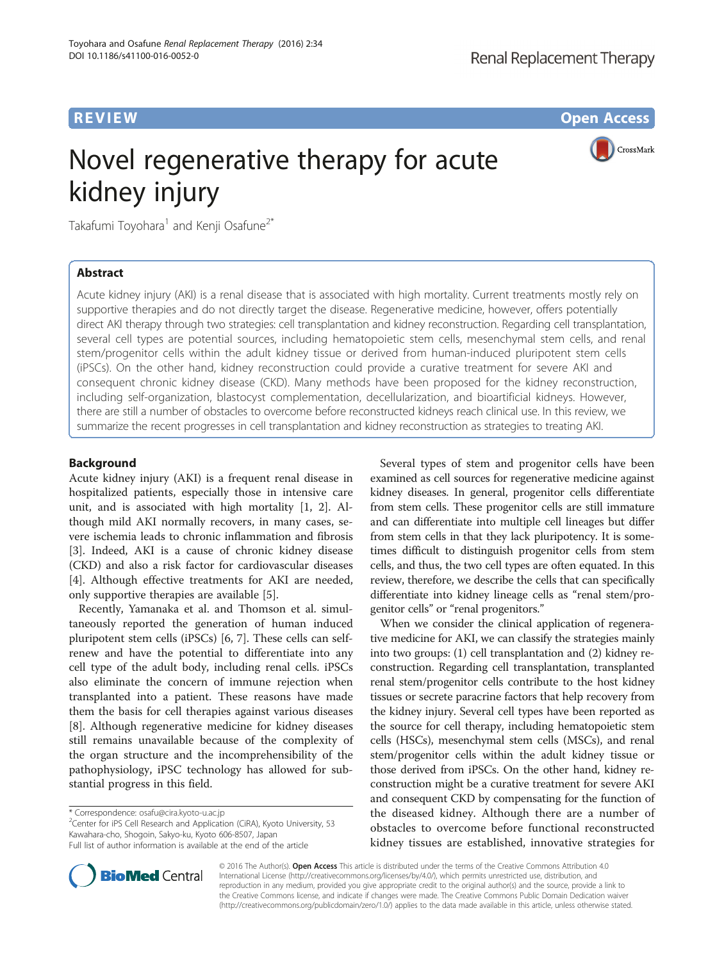**REVIEW CONSTRUCTION CONSTRUCTION CONSTRUCTS** 

# Novel regenerative therapy for acute kidney injury



Takafumi Toyohara<sup>1</sup> and Kenji Osafune<sup>2\*</sup>

# Abstract

Acute kidney injury (AKI) is a renal disease that is associated with high mortality. Current treatments mostly rely on supportive therapies and do not directly target the disease. Regenerative medicine, however, offers potentially direct AKI therapy through two strategies: cell transplantation and kidney reconstruction. Regarding cell transplantation, several cell types are potential sources, including hematopoietic stem cells, mesenchymal stem cells, and renal stem/progenitor cells within the adult kidney tissue or derived from human-induced pluripotent stem cells (iPSCs). On the other hand, kidney reconstruction could provide a curative treatment for severe AKI and consequent chronic kidney disease (CKD). Many methods have been proposed for the kidney reconstruction, including self-organization, blastocyst complementation, decellularization, and bioartificial kidneys. However, there are still a number of obstacles to overcome before reconstructed kidneys reach clinical use. In this review, we summarize the recent progresses in cell transplantation and kidney reconstruction as strategies to treating AKI.

# Background

Acute kidney injury (AKI) is a frequent renal disease in hospitalized patients, especially those in intensive care unit, and is associated with high mortality [[1, 2](#page-7-0)]. Although mild AKI normally recovers, in many cases, severe ischemia leads to chronic inflammation and fibrosis [[3\]](#page-7-0). Indeed, AKI is a cause of chronic kidney disease (CKD) and also a risk factor for cardiovascular diseases [[4\]](#page-7-0). Although effective treatments for AKI are needed, only supportive therapies are available [\[5](#page-7-0)].

Recently, Yamanaka et al. and Thomson et al. simultaneously reported the generation of human induced pluripotent stem cells (iPSCs) [[6, 7\]](#page-7-0). These cells can selfrenew and have the potential to differentiate into any cell type of the adult body, including renal cells. iPSCs also eliminate the concern of immune rejection when transplanted into a patient. These reasons have made them the basis for cell therapies against various diseases [[8\]](#page-7-0). Although regenerative medicine for kidney diseases still remains unavailable because of the complexity of the organ structure and the incomprehensibility of the pathophysiology, iPSC technology has allowed for substantial progress in this field.

\* Correspondence: [osafu@cira.kyoto-u.ac.jp](mailto:osafu@cira.kyoto-u.ac.jp) <sup>2</sup>

<sup>2</sup> Center for iPS Cell Research and Application (CiRA), Kyoto University, 53 Kawahara-cho, Shogoin, Sakyo-ku, Kyoto 606-8507, Japan Full list of author information is available at the end of the article

Several types of stem and progenitor cells have been examined as cell sources for regenerative medicine against kidney diseases. In general, progenitor cells differentiate from stem cells. These progenitor cells are still immature and can differentiate into multiple cell lineages but differ from stem cells in that they lack pluripotency. It is sometimes difficult to distinguish progenitor cells from stem cells, and thus, the two cell types are often equated. In this review, therefore, we describe the cells that can specifically differentiate into kidney lineage cells as "renal stem/progenitor cells" or "renal progenitors."

When we consider the clinical application of regenerative medicine for AKI, we can classify the strategies mainly into two groups: (1) cell transplantation and (2) kidney reconstruction. Regarding cell transplantation, transplanted renal stem/progenitor cells contribute to the host kidney tissues or secrete paracrine factors that help recovery from the kidney injury. Several cell types have been reported as the source for cell therapy, including hematopoietic stem cells (HSCs), mesenchymal stem cells (MSCs), and renal stem/progenitor cells within the adult kidney tissue or those derived from iPSCs. On the other hand, kidney reconstruction might be a curative treatment for severe AKI and consequent CKD by compensating for the function of the diseased kidney. Although there are a number of obstacles to overcome before functional reconstructed kidney tissues are established, innovative strategies for



© 2016 The Author(s). Open Access This article is distributed under the terms of the Creative Commons Attribution 4.0 International License [\(http://creativecommons.org/licenses/by/4.0/](http://creativecommons.org/licenses/by/4.0/)), which permits unrestricted use, distribution, and reproduction in any medium, provided you give appropriate credit to the original author(s) and the source, provide a link to the Creative Commons license, and indicate if changes were made. The Creative Commons Public Domain Dedication waiver [\(http://creativecommons.org/publicdomain/zero/1.0/](http://creativecommons.org/publicdomain/zero/1.0/)) applies to the data made available in this article, unless otherwise stated.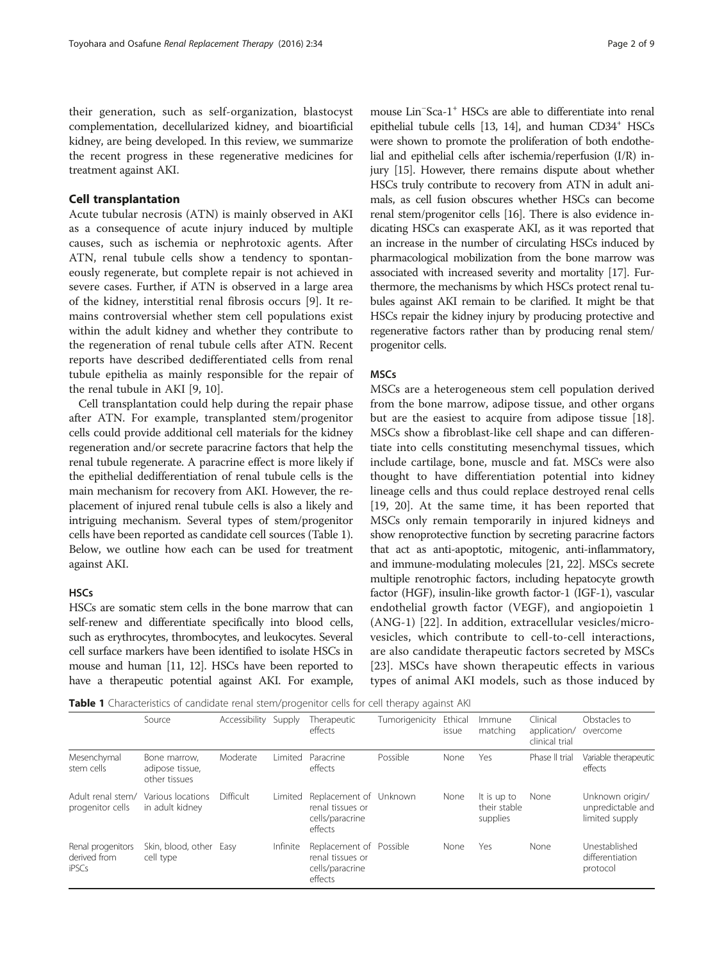their generation, such as self-organization, blastocyst complementation, decellularized kidney, and bioartificial kidney, are being developed. In this review, we summarize the recent progress in these regenerative medicines for treatment against AKI.

### Cell transplantation

Acute tubular necrosis (ATN) is mainly observed in AKI as a consequence of acute injury induced by multiple causes, such as ischemia or nephrotoxic agents. After ATN, renal tubule cells show a tendency to spontaneously regenerate, but complete repair is not achieved in severe cases. Further, if ATN is observed in a large area of the kidney, interstitial renal fibrosis occurs [[9](#page-7-0)]. It remains controversial whether stem cell populations exist within the adult kidney and whether they contribute to the regeneration of renal tubule cells after ATN. Recent reports have described dedifferentiated cells from renal tubule epithelia as mainly responsible for the repair of the renal tubule in AKI [[9](#page-7-0), [10](#page-7-0)].

Cell transplantation could help during the repair phase after ATN. For example, transplanted stem/progenitor cells could provide additional cell materials for the kidney regeneration and/or secrete paracrine factors that help the renal tubule regenerate. A paracrine effect is more likely if the epithelial dedifferentiation of renal tubule cells is the main mechanism for recovery from AKI. However, the replacement of injured renal tubule cells is also a likely and intriguing mechanism. Several types of stem/progenitor cells have been reported as candidate cell sources (Table 1). Below, we outline how each can be used for treatment against AKI.

### **HSCs**

HSCs are somatic stem cells in the bone marrow that can self-renew and differentiate specifically into blood cells, such as erythrocytes, thrombocytes, and leukocytes. Several cell surface markers have been identified to isolate HSCs in mouse and human [\[11](#page-7-0), [12\]](#page-7-0). HSCs have been reported to have a therapeutic potential against AKI. For example,

mouse Lin<sup>−</sup> Sca-1+ HSCs are able to differentiate into renal epithelial tubule cells [\[13, 14\]](#page-7-0), and human CD34<sup>+</sup> HSCs were shown to promote the proliferation of both endothelial and epithelial cells after ischemia/reperfusion (I/R) injury [\[15\]](#page-7-0). However, there remains dispute about whether HSCs truly contribute to recovery from ATN in adult animals, as cell fusion obscures whether HSCs can become renal stem/progenitor cells [[16\]](#page-7-0). There is also evidence indicating HSCs can exasperate AKI, as it was reported that an increase in the number of circulating HSCs induced by pharmacological mobilization from the bone marrow was associated with increased severity and mortality [\[17\]](#page-7-0). Furthermore, the mechanisms by which HSCs protect renal tubules against AKI remain to be clarified. It might be that HSCs repair the kidney injury by producing protective and regenerative factors rather than by producing renal stem/ progenitor cells.

#### **MSCs**

MSCs are a heterogeneous stem cell population derived from the bone marrow, adipose tissue, and other organs but are the easiest to acquire from adipose tissue [\[18](#page-7-0)]. MSCs show a fibroblast-like cell shape and can differentiate into cells constituting mesenchymal tissues, which include cartilage, bone, muscle and fat. MSCs were also thought to have differentiation potential into kidney lineage cells and thus could replace destroyed renal cells [[19, 20\]](#page-7-0). At the same time, it has been reported that MSCs only remain temporarily in injured kidneys and show renoprotective function by secreting paracrine factors that act as anti-apoptotic, mitogenic, anti-inflammatory, and immune-modulating molecules [\[21](#page-7-0), [22](#page-7-0)]. MSCs secrete multiple renotrophic factors, including hepatocyte growth factor (HGF), insulin-like growth factor-1 (IGF-1), vascular endothelial growth factor (VEGF), and angiopoietin 1 (ANG-1) [[22\]](#page-7-0). In addition, extracellular vesicles/microvesicles, which contribute to cell-to-cell interactions, are also candidate therapeutic factors secreted by MSCs [[23](#page-7-0)]. MSCs have shown therapeutic effects in various types of animal AKI models, such as those induced by

Table 1 Characteristics of candidate renal stem/progenitor cells for cell therapy against AKI

|                                            | Source                                           | Accessibility | Supply   | Therapeutic<br>effects                                                    | Tumorigenicity | Ethical<br>issue | Immune<br>matching                      | Clinical<br>application/<br>clinical trial | Obstacles to<br>overcome                               |
|--------------------------------------------|--------------------------------------------------|---------------|----------|---------------------------------------------------------------------------|----------------|------------------|-----------------------------------------|--------------------------------------------|--------------------------------------------------------|
| Mesenchymal<br>stem cells                  | Bone marrow.<br>adipose tissue,<br>other tissues | Moderate      | I imited | Paracrine<br>effects                                                      | Possible       | None             | Yes                                     | Phase II trial                             | Variable therapeutic<br>effects                        |
| Adult renal stem/<br>progenitor cells      | Various locations<br>in adult kidney             | Difficult     | Limited  | Replacement of Unknown<br>renal tissues or<br>cells/paracrine<br>effects  |                | None             | It is up to<br>their stable<br>supplies | None                                       | Unknown origin/<br>unpredictable and<br>limited supply |
| Renal progenitors<br>derived from<br>IPSCs | Skin, blood, other Easy<br>cell type             |               | Infinite | Replacement of Possible<br>renal tissues or<br>cells/paracrine<br>effects |                | None             | Yes                                     | None                                       | Unestablished<br>differentiation<br>protocol           |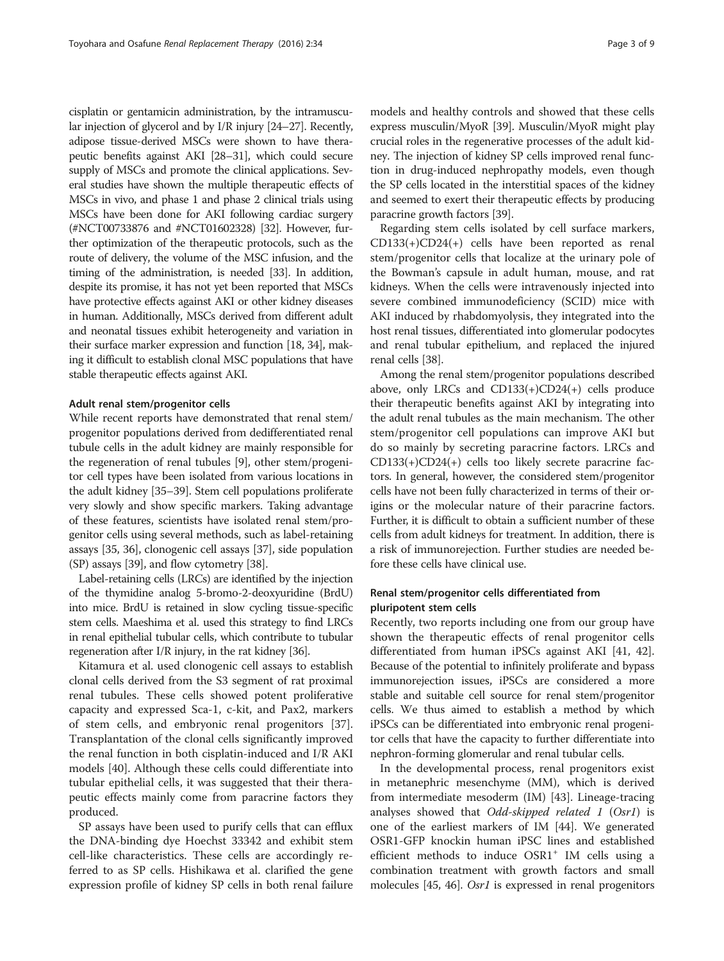cisplatin or gentamicin administration, by the intramuscular injection of glycerol and by I/R injury [[24](#page-7-0)–[27](#page-7-0)]. Recently, adipose tissue-derived MSCs were shown to have therapeutic benefits against AKI [\[28](#page-7-0)–[31\]](#page-7-0), which could secure supply of MSCs and promote the clinical applications. Several studies have shown the multiple therapeutic effects of MSCs in vivo, and phase 1 and phase 2 clinical trials using MSCs have been done for AKI following cardiac surgery (#NCT00733876 and #NCT01602328) [\[32\]](#page-7-0). However, further optimization of the therapeutic protocols, such as the route of delivery, the volume of the MSC infusion, and the timing of the administration, is needed [[33](#page-7-0)]. In addition, despite its promise, it has not yet been reported that MSCs have protective effects against AKI or other kidney diseases in human. Additionally, MSCs derived from different adult and neonatal tissues exhibit heterogeneity and variation in their surface marker expression and function [[18](#page-7-0), [34](#page-7-0)], making it difficult to establish clonal MSC populations that have stable therapeutic effects against AKI.

#### Adult renal stem/progenitor cells

While recent reports have demonstrated that renal stem/ progenitor populations derived from dedifferentiated renal tubule cells in the adult kidney are mainly responsible for the regeneration of renal tubules [\[9](#page-7-0)], other stem/progenitor cell types have been isolated from various locations in the adult kidney [\[35](#page-7-0)–[39](#page-8-0)]. Stem cell populations proliferate very slowly and show specific markers. Taking advantage of these features, scientists have isolated renal stem/progenitor cells using several methods, such as label-retaining assays [[35](#page-7-0), [36\]](#page-7-0), clonogenic cell assays [\[37\]](#page-8-0), side population (SP) assays [[39](#page-8-0)], and flow cytometry [[38](#page-8-0)].

Label-retaining cells (LRCs) are identified by the injection of the thymidine analog 5-bromo-2-deoxyuridine (BrdU) into mice. BrdU is retained in slow cycling tissue-specific stem cells. Maeshima et al. used this strategy to find LRCs in renal epithelial tubular cells, which contribute to tubular regeneration after I/R injury, in the rat kidney [[36](#page-7-0)].

Kitamura et al. used clonogenic cell assays to establish clonal cells derived from the S3 segment of rat proximal renal tubules. These cells showed potent proliferative capacity and expressed Sca-1, c-kit, and Pax2, markers of stem cells, and embryonic renal progenitors [\[37](#page-8-0)]. Transplantation of the clonal cells significantly improved the renal function in both cisplatin-induced and I/R AKI models [\[40\]](#page-8-0). Although these cells could differentiate into tubular epithelial cells, it was suggested that their therapeutic effects mainly come from paracrine factors they produced.

SP assays have been used to purify cells that can efflux the DNA-binding dye Hoechst 33342 and exhibit stem cell-like characteristics. These cells are accordingly referred to as SP cells. Hishikawa et al. clarified the gene expression profile of kidney SP cells in both renal failure

models and healthy controls and showed that these cells express musculin/MyoR [\[39](#page-8-0)]. Musculin/MyoR might play crucial roles in the regenerative processes of the adult kidney. The injection of kidney SP cells improved renal function in drug-induced nephropathy models, even though the SP cells located in the interstitial spaces of the kidney and seemed to exert their therapeutic effects by producing paracrine growth factors [[39\]](#page-8-0).

Regarding stem cells isolated by cell surface markers, CD133(+)CD24(+) cells have been reported as renal stem/progenitor cells that localize at the urinary pole of the Bowman's capsule in adult human, mouse, and rat kidneys. When the cells were intravenously injected into severe combined immunodeficiency (SCID) mice with AKI induced by rhabdomyolysis, they integrated into the host renal tissues, differentiated into glomerular podocytes and renal tubular epithelium, and replaced the injured renal cells [\[38\]](#page-8-0).

Among the renal stem/progenitor populations described above, only LRCs and  $CD133(+)CD24(+)$  cells produce their therapeutic benefits against AKI by integrating into the adult renal tubules as the main mechanism. The other stem/progenitor cell populations can improve AKI but do so mainly by secreting paracrine factors. LRCs and CD133(+)CD24(+) cells too likely secrete paracrine factors. In general, however, the considered stem/progenitor cells have not been fully characterized in terms of their origins or the molecular nature of their paracrine factors. Further, it is difficult to obtain a sufficient number of these cells from adult kidneys for treatment. In addition, there is a risk of immunorejection. Further studies are needed before these cells have clinical use.

### Renal stem/progenitor cells differentiated from pluripotent stem cells

Recently, two reports including one from our group have shown the therapeutic effects of renal progenitor cells differentiated from human iPSCs against AKI [[41, 42](#page-8-0)]. Because of the potential to infinitely proliferate and bypass immunorejection issues, iPSCs are considered a more stable and suitable cell source for renal stem/progenitor cells. We thus aimed to establish a method by which iPSCs can be differentiated into embryonic renal progenitor cells that have the capacity to further differentiate into nephron-forming glomerular and renal tubular cells.

In the developmental process, renal progenitors exist in metanephric mesenchyme (MM), which is derived from intermediate mesoderm (IM) [\[43](#page-8-0)]. Lineage-tracing analyses showed that Odd-skipped related 1 (Osr1) is one of the earliest markers of IM [[44\]](#page-8-0). We generated OSR1-GFP knockin human iPSC lines and established efficient methods to induce OSR1<sup>+</sup> IM cells using a combination treatment with growth factors and small molecules [\[45, 46\]](#page-8-0). Osr1 is expressed in renal progenitors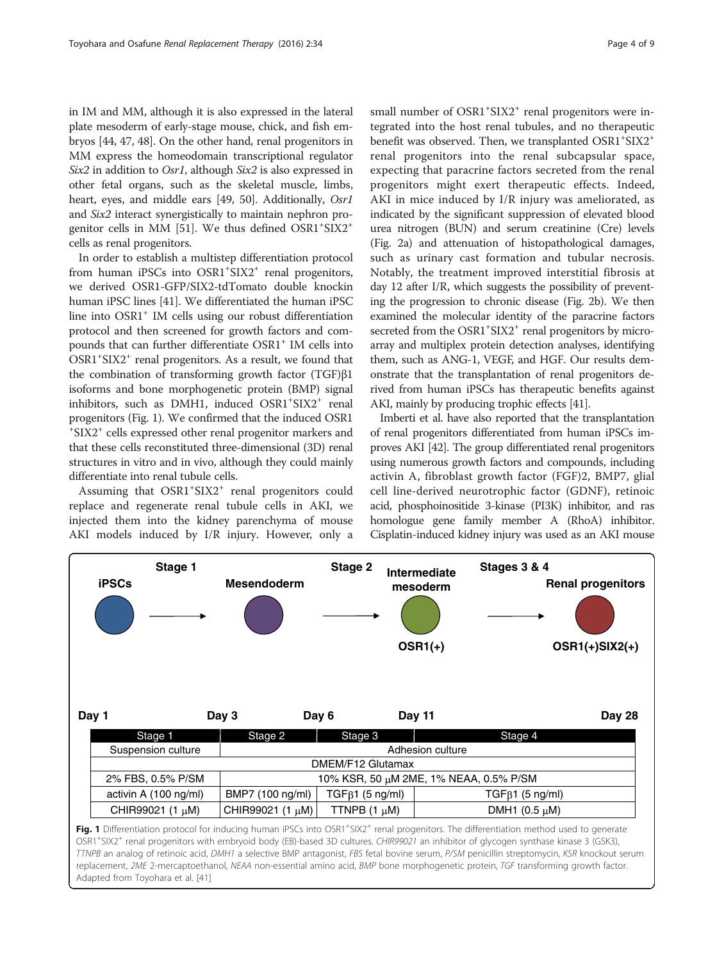in IM and MM, although it is also expressed in the lateral plate mesoderm of early-stage mouse, chick, and fish embryos [\[44, 47](#page-8-0), [48\]](#page-8-0). On the other hand, renal progenitors in MM express the homeodomain transcriptional regulator Six2 in addition to Osr1, although Six2 is also expressed in other fetal organs, such as the skeletal muscle, limbs, heart, eyes, and middle ears [\[49, 50\]](#page-8-0). Additionally, Osr1 and Six2 interact synergistically to maintain nephron pro-genitor cells in MM [\[51](#page-8-0)]. We thus defined OSR1<sup>+</sup>SIX2<sup>+</sup> cells as renal progenitors.

In order to establish a multistep differentiation protocol from human iPSCs into OSR1<sup>+</sup>SIX2<sup>+</sup> renal progenitors, we derived OSR1-GFP/SIX2-tdTomato double knockin human iPSC lines [\[41\]](#page-8-0). We differentiated the human iPSC line into OSR1<sup>+</sup> IM cells using our robust differentiation protocol and then screened for growth factors and compounds that can further differentiate OSR1<sup>+</sup> IM cells into OSR1<sup>+</sup>SIX2<sup>+</sup> renal progenitors. As a result, we found that the combination of transforming growth factor (TGF)β1 isoforms and bone morphogenetic protein (BMP) signal inhibitors, such as DMH1, induced OSR1<sup>+</sup>SIX2<sup>+</sup> renal progenitors (Fig. 1). We confirmed that the induced OSR1 + SIX2+ cells expressed other renal progenitor markers and that these cells reconstituted three-dimensional (3D) renal structures in vitro and in vivo, although they could mainly differentiate into renal tubule cells.

Assuming that OSR1<sup>+</sup>SIX2<sup>+</sup> renal progenitors could replace and regenerate renal tubule cells in AKI, we injected them into the kidney parenchyma of mouse AKI models induced by I/R injury. However, only a

small number of OSR1<sup>+</sup>SIX2<sup>+</sup> renal progenitors were integrated into the host renal tubules, and no therapeutic benefit was observed. Then, we transplanted OSR1<sup>+</sup>SIX2<sup>+</sup> renal progenitors into the renal subcapsular space, expecting that paracrine factors secreted from the renal progenitors might exert therapeutic effects. Indeed, AKI in mice induced by I/R injury was ameliorated, as indicated by the significant suppression of elevated blood urea nitrogen (BUN) and serum creatinine (Cre) levels (Fig. [2a](#page-4-0)) and attenuation of histopathological damages, such as urinary cast formation and tubular necrosis. Notably, the treatment improved interstitial fibrosis at day 12 after I/R, which suggests the possibility of preventing the progression to chronic disease (Fig. [2b](#page-4-0)). We then examined the molecular identity of the paracrine factors secreted from the OSR1<sup>+</sup>SIX2<sup>+</sup> renal progenitors by microarray and multiplex protein detection analyses, identifying them, such as ANG-1, VEGF, and HGF. Our results demonstrate that the transplantation of renal progenitors derived from human iPSCs has therapeutic benefits against AKI, mainly by producing trophic effects [\[41\]](#page-8-0).

Imberti et al. have also reported that the transplantation of renal progenitors differentiated from human iPSCs improves AKI [\[42\]](#page-8-0). The group differentiated renal progenitors using numerous growth factors and compounds, including activin A, fibroblast growth factor (FGF)2, BMP7, glial cell line-derived neurotrophic factor (GDNF), retinoic acid, phosphoinositide 3-kinase (PI3K) inhibitor, and ras homologue gene family member A (RhoA) inhibitor. Cisplatin-induced kidney injury was used as an AKI mouse

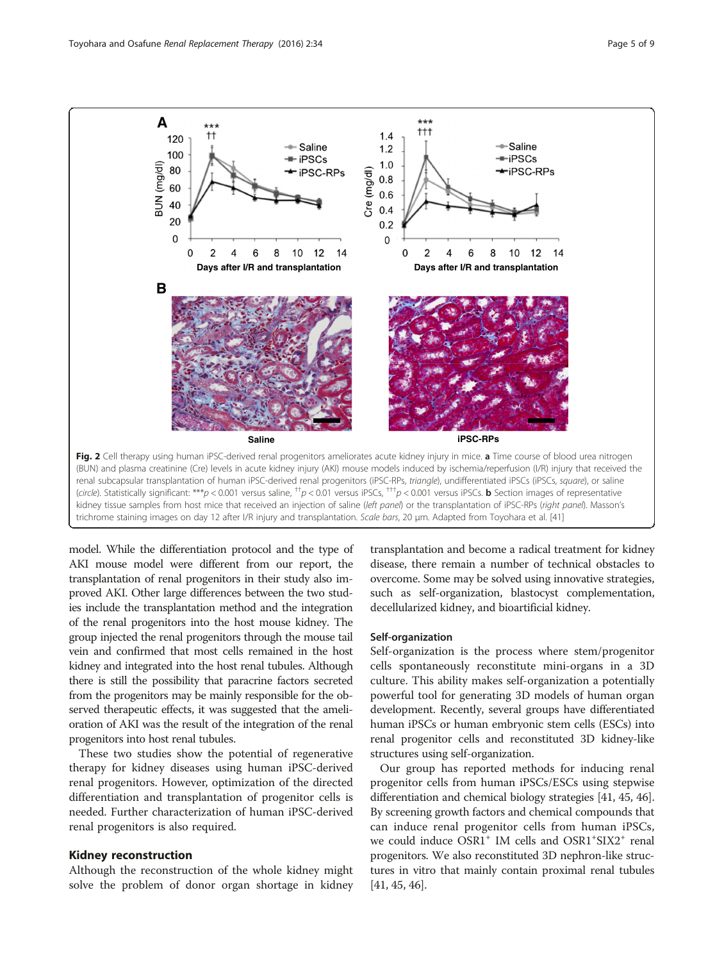<span id="page-4-0"></span>

model. While the differentiation protocol and the type of AKI mouse model were different from our report, the transplantation of renal progenitors in their study also improved AKI. Other large differences between the two studies include the transplantation method and the integration of the renal progenitors into the host mouse kidney. The group injected the renal progenitors through the mouse tail vein and confirmed that most cells remained in the host kidney and integrated into the host renal tubules. Although there is still the possibility that paracrine factors secreted from the progenitors may be mainly responsible for the observed therapeutic effects, it was suggested that the amelioration of AKI was the result of the integration of the renal progenitors into host renal tubules.

These two studies show the potential of regenerative therapy for kidney diseases using human iPSC-derived renal progenitors. However, optimization of the directed differentiation and transplantation of progenitor cells is needed. Further characterization of human iPSC-derived renal progenitors is also required.

#### Kidney reconstruction

Although the reconstruction of the whole kidney might solve the problem of donor organ shortage in kidney transplantation and become a radical treatment for kidney disease, there remain a number of technical obstacles to overcome. Some may be solved using innovative strategies, such as self-organization, blastocyst complementation, decellularized kidney, and bioartificial kidney.

#### Self-organization

Self-organization is the process where stem/progenitor cells spontaneously reconstitute mini-organs in a 3D culture. This ability makes self-organization a potentially powerful tool for generating 3D models of human organ development. Recently, several groups have differentiated human iPSCs or human embryonic stem cells (ESCs) into renal progenitor cells and reconstituted 3D kidney-like structures using self-organization.

Our group has reported methods for inducing renal progenitor cells from human iPSCs/ESCs using stepwise differentiation and chemical biology strategies [[41](#page-8-0), [45, 46](#page-8-0)]. By screening growth factors and chemical compounds that can induce renal progenitor cells from human iPSCs, we could induce OSR1<sup>+</sup> IM cells and OSR1<sup>+</sup>SIX2<sup>+</sup> renal progenitors. We also reconstituted 3D nephron-like structures in vitro that mainly contain proximal renal tubules [[41](#page-8-0), [45, 46](#page-8-0)].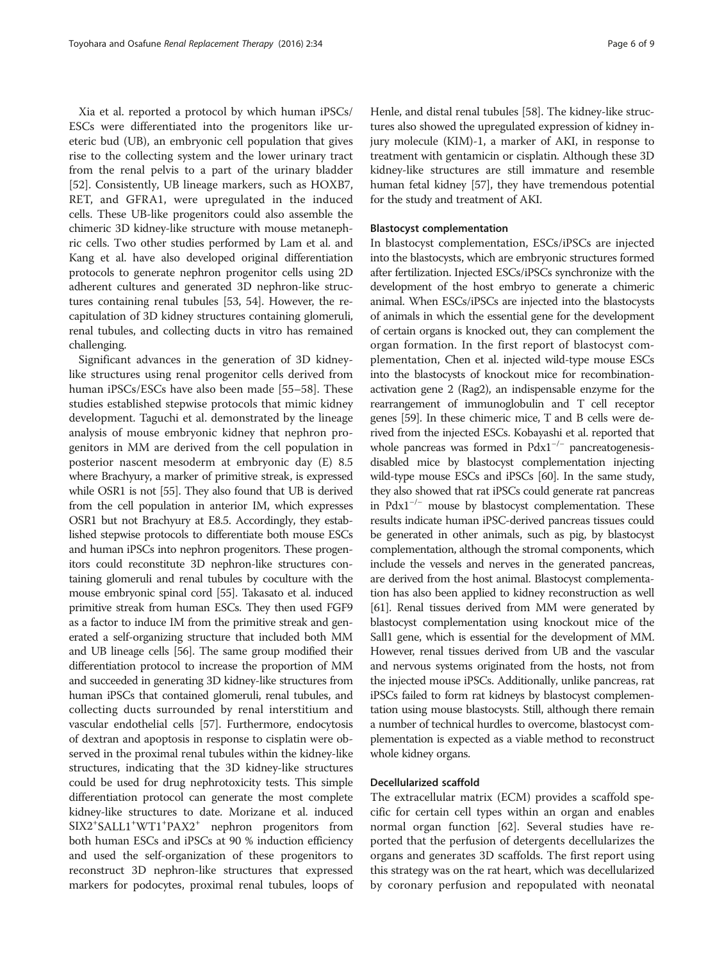Xia et al. reported a protocol by which human iPSCs/ ESCs were differentiated into the progenitors like ureteric bud (UB), an embryonic cell population that gives rise to the collecting system and the lower urinary tract from the renal pelvis to a part of the urinary bladder [[52\]](#page-8-0). Consistently, UB lineage markers, such as HOXB7, RET, and GFRA1, were upregulated in the induced cells. These UB-like progenitors could also assemble the chimeric 3D kidney-like structure with mouse metanephric cells. Two other studies performed by Lam et al. and Kang et al. have also developed original differentiation protocols to generate nephron progenitor cells using 2D adherent cultures and generated 3D nephron-like structures containing renal tubules [[53](#page-8-0), [54](#page-8-0)]. However, the recapitulation of 3D kidney structures containing glomeruli, renal tubules, and collecting ducts in vitro has remained challenging.

Significant advances in the generation of 3D kidneylike structures using renal progenitor cells derived from human iPSCs/ESCs have also been made [\[55](#page-8-0)–[58\]](#page-8-0). These studies established stepwise protocols that mimic kidney development. Taguchi et al. demonstrated by the lineage analysis of mouse embryonic kidney that nephron progenitors in MM are derived from the cell population in posterior nascent mesoderm at embryonic day (E) 8.5 where Brachyury, a marker of primitive streak, is expressed while OSR1 is not [\[55\]](#page-8-0). They also found that UB is derived from the cell population in anterior IM, which expresses OSR1 but not Brachyury at E8.5. Accordingly, they established stepwise protocols to differentiate both mouse ESCs and human iPSCs into nephron progenitors. These progenitors could reconstitute 3D nephron-like structures containing glomeruli and renal tubules by coculture with the mouse embryonic spinal cord [\[55\]](#page-8-0). Takasato et al. induced primitive streak from human ESCs. They then used FGF9 as a factor to induce IM from the primitive streak and generated a self-organizing structure that included both MM and UB lineage cells [[56](#page-8-0)]. The same group modified their differentiation protocol to increase the proportion of MM and succeeded in generating 3D kidney-like structures from human iPSCs that contained glomeruli, renal tubules, and collecting ducts surrounded by renal interstitium and vascular endothelial cells [\[57\]](#page-8-0). Furthermore, endocytosis of dextran and apoptosis in response to cisplatin were observed in the proximal renal tubules within the kidney-like structures, indicating that the 3D kidney-like structures could be used for drug nephrotoxicity tests. This simple differentiation protocol can generate the most complete kidney-like structures to date. Morizane et al. induced SIX2<sup>+</sup>SALL1<sup>+</sup>WT1<sup>+</sup>PAX2<sup>+</sup> nephron progenitors from both human ESCs and iPSCs at 90 % induction efficiency and used the self-organization of these progenitors to reconstruct 3D nephron-like structures that expressed markers for podocytes, proximal renal tubules, loops of Henle, and distal renal tubules [\[58](#page-8-0)]. The kidney-like structures also showed the upregulated expression of kidney injury molecule (KIM)-1, a marker of AKI, in response to treatment with gentamicin or cisplatin. Although these 3D kidney-like structures are still immature and resemble human fetal kidney [[57](#page-8-0)], they have tremendous potential for the study and treatment of AKI.

#### Blastocyst complementation

In blastocyst complementation, ESCs/iPSCs are injected into the blastocysts, which are embryonic structures formed after fertilization. Injected ESCs/iPSCs synchronize with the development of the host embryo to generate a chimeric animal. When ESCs/iPSCs are injected into the blastocysts of animals in which the essential gene for the development of certain organs is knocked out, they can complement the organ formation. In the first report of blastocyst complementation, Chen et al. injected wild-type mouse ESCs into the blastocysts of knockout mice for recombinationactivation gene 2 (Rag2), an indispensable enzyme for the rearrangement of immunoglobulin and T cell receptor genes [\[59](#page-8-0)]. In these chimeric mice, T and B cells were derived from the injected ESCs. Kobayashi et al. reported that whole pancreas was formed in Pdx1<sup>-/-</sup> pancreatogenesisdisabled mice by blastocyst complementation injecting wild-type mouse ESCs and iPSCs [[60](#page-8-0)]. In the same study, they also showed that rat iPSCs could generate rat pancreas in Pdx1−/<sup>−</sup> mouse by blastocyst complementation. These results indicate human iPSC-derived pancreas tissues could be generated in other animals, such as pig, by blastocyst complementation, although the stromal components, which include the vessels and nerves in the generated pancreas, are derived from the host animal. Blastocyst complementation has also been applied to kidney reconstruction as well [[61](#page-8-0)]. Renal tissues derived from MM were generated by blastocyst complementation using knockout mice of the Sall1 gene, which is essential for the development of MM. However, renal tissues derived from UB and the vascular and nervous systems originated from the hosts, not from the injected mouse iPSCs. Additionally, unlike pancreas, rat iPSCs failed to form rat kidneys by blastocyst complementation using mouse blastocysts. Still, although there remain a number of technical hurdles to overcome, blastocyst complementation is expected as a viable method to reconstruct whole kidney organs.

#### Decellularized scaffold

The extracellular matrix (ECM) provides a scaffold specific for certain cell types within an organ and enables normal organ function [\[62](#page-8-0)]. Several studies have reported that the perfusion of detergents decellularizes the organs and generates 3D scaffolds. The first report using this strategy was on the rat heart, which was decellularized by coronary perfusion and repopulated with neonatal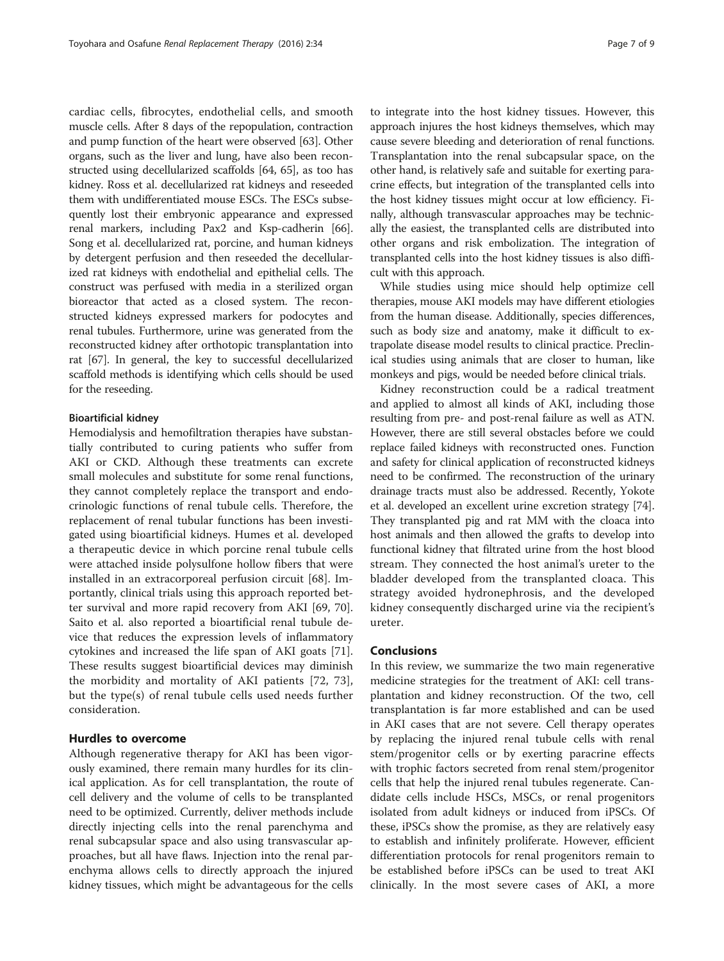cardiac cells, fibrocytes, endothelial cells, and smooth muscle cells. After 8 days of the repopulation, contraction and pump function of the heart were observed [\[63\]](#page-8-0). Other organs, such as the liver and lung, have also been reconstructed using decellularized scaffolds [[64](#page-8-0), [65\]](#page-8-0), as too has kidney. Ross et al. decellularized rat kidneys and reseeded them with undifferentiated mouse ESCs. The ESCs subsequently lost their embryonic appearance and expressed renal markers, including Pax2 and Ksp-cadherin [[66](#page-8-0)]. Song et al. decellularized rat, porcine, and human kidneys by detergent perfusion and then reseeded the decellularized rat kidneys with endothelial and epithelial cells. The construct was perfused with media in a sterilized organ bioreactor that acted as a closed system. The reconstructed kidneys expressed markers for podocytes and renal tubules. Furthermore, urine was generated from the reconstructed kidney after orthotopic transplantation into rat [\[67](#page-8-0)]. In general, the key to successful decellularized scaffold methods is identifying which cells should be used for the reseeding.

#### Bioartificial kidney

Hemodialysis and hemofiltration therapies have substantially contributed to curing patients who suffer from AKI or CKD. Although these treatments can excrete small molecules and substitute for some renal functions, they cannot completely replace the transport and endocrinologic functions of renal tubule cells. Therefore, the replacement of renal tubular functions has been investigated using bioartificial kidneys. Humes et al. developed a therapeutic device in which porcine renal tubule cells were attached inside polysulfone hollow fibers that were installed in an extracorporeal perfusion circuit [[68\]](#page-8-0). Importantly, clinical trials using this approach reported better survival and more rapid recovery from AKI [[69, 70](#page-8-0)]. Saito et al. also reported a bioartificial renal tubule device that reduces the expression levels of inflammatory cytokines and increased the life span of AKI goats [\[71](#page-8-0)]. These results suggest bioartificial devices may diminish the morbidity and mortality of AKI patients [[72](#page-8-0), [73](#page-8-0)], but the type(s) of renal tubule cells used needs further consideration.

## Hurdles to overcome

Although regenerative therapy for AKI has been vigorously examined, there remain many hurdles for its clinical application. As for cell transplantation, the route of cell delivery and the volume of cells to be transplanted need to be optimized. Currently, deliver methods include directly injecting cells into the renal parenchyma and renal subcapsular space and also using transvascular approaches, but all have flaws. Injection into the renal parenchyma allows cells to directly approach the injured kidney tissues, which might be advantageous for the cells

to integrate into the host kidney tissues. However, this approach injures the host kidneys themselves, which may cause severe bleeding and deterioration of renal functions. Transplantation into the renal subcapsular space, on the other hand, is relatively safe and suitable for exerting paracrine effects, but integration of the transplanted cells into the host kidney tissues might occur at low efficiency. Finally, although transvascular approaches may be technically the easiest, the transplanted cells are distributed into other organs and risk embolization. The integration of transplanted cells into the host kidney tissues is also difficult with this approach.

While studies using mice should help optimize cell therapies, mouse AKI models may have different etiologies from the human disease. Additionally, species differences, such as body size and anatomy, make it difficult to extrapolate disease model results to clinical practice. Preclinical studies using animals that are closer to human, like monkeys and pigs, would be needed before clinical trials.

Kidney reconstruction could be a radical treatment and applied to almost all kinds of AKI, including those resulting from pre- and post-renal failure as well as ATN. However, there are still several obstacles before we could replace failed kidneys with reconstructed ones. Function and safety for clinical application of reconstructed kidneys need to be confirmed. The reconstruction of the urinary drainage tracts must also be addressed. Recently, Yokote et al. developed an excellent urine excretion strategy [[74](#page-8-0)]. They transplanted pig and rat MM with the cloaca into host animals and then allowed the grafts to develop into functional kidney that filtrated urine from the host blood stream. They connected the host animal's ureter to the bladder developed from the transplanted cloaca. This strategy avoided hydronephrosis, and the developed kidney consequently discharged urine via the recipient's ureter.

#### Conclusions

In this review, we summarize the two main regenerative medicine strategies for the treatment of AKI: cell transplantation and kidney reconstruction. Of the two, cell transplantation is far more established and can be used in AKI cases that are not severe. Cell therapy operates by replacing the injured renal tubule cells with renal stem/progenitor cells or by exerting paracrine effects with trophic factors secreted from renal stem/progenitor cells that help the injured renal tubules regenerate. Candidate cells include HSCs, MSCs, or renal progenitors isolated from adult kidneys or induced from iPSCs. Of these, iPSCs show the promise, as they are relatively easy to establish and infinitely proliferate. However, efficient differentiation protocols for renal progenitors remain to be established before iPSCs can be used to treat AKI clinically. In the most severe cases of AKI, a more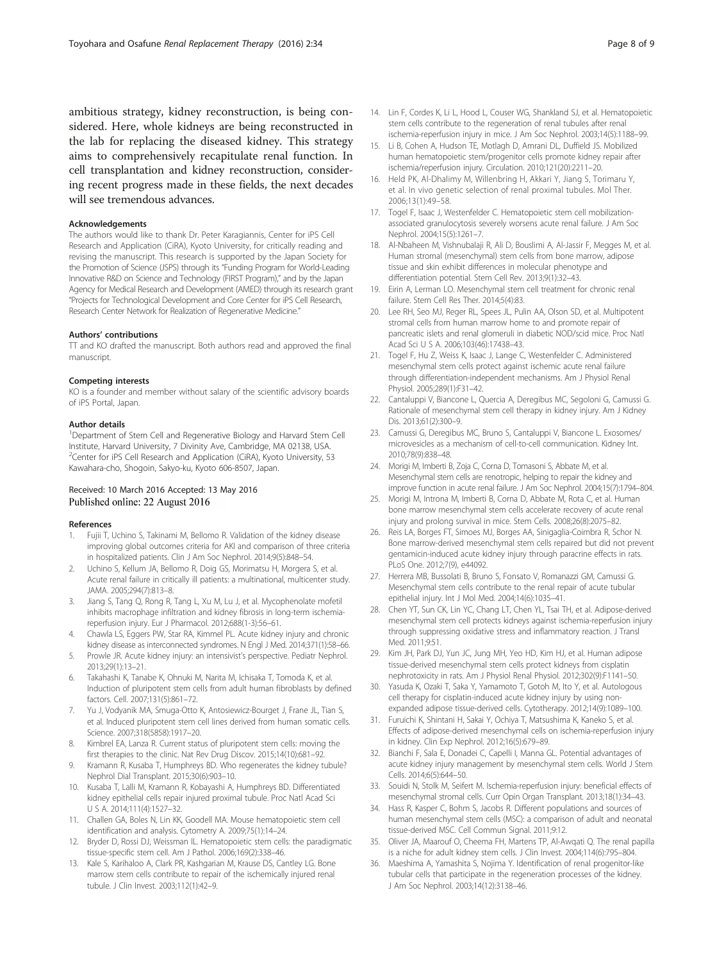<span id="page-7-0"></span>ambitious strategy, kidney reconstruction, is being considered. Here, whole kidneys are being reconstructed in the lab for replacing the diseased kidney. This strategy aims to comprehensively recapitulate renal function. In cell transplantation and kidney reconstruction, considering recent progress made in these fields, the next decades will see tremendous advances.

#### Acknowledgements

The authors would like to thank Dr. Peter Karagiannis, Center for iPS Cell Research and Application (CiRA), Kyoto University, for critically reading and revising the manuscript. This research is supported by the Japan Society for the Promotion of Science (JSPS) through its "Funding Program for World-Leading Innovative R&D on Science and Technology (FIRST Program)," and by the Japan Agency for Medical Research and Development (AMED) through its research grant "Projects for Technological Development and Core Center for iPS Cell Research, Research Center Network for Realization of Regenerative Medicine."

#### Authors' contributions

TT and KO drafted the manuscript. Both authors read and approved the final manuscript.

#### Competing interests

KO is a founder and member without salary of the scientific advisory boards of iPS Portal, Japan.

#### Author details

<sup>1</sup>Department of Stem Cell and Regenerative Biology and Harvard Stem Cell Institute, Harvard University, 7 Divinity Ave, Cambridge, MA 02138, USA. <sup>2</sup> Center for iPS Cell Research and Application (CiRA), Kyoto University, 53 Kawahara-cho, Shogoin, Sakyo-ku, Kyoto 606-8507, Japan.

#### Received: 10 March 2016 Accepted: 13 May 2016 Published online: 22 August 2016

#### References

- 1. Fujii T, Uchino S, Takinami M, Bellomo R. Validation of the kidney disease improving global outcomes criteria for AKI and comparison of three criteria in hospitalized patients. Clin J Am Soc Nephrol. 2014;9(5):848–54.
- 2. Uchino S, Kellum JA, Bellomo R, Doig GS, Morimatsu H, Morgera S, et al. Acute renal failure in critically ill patients: a multinational, multicenter study. JAMA. 2005;294(7):813–8.
- 3. Jiang S, Tang Q, Rong R, Tang L, Xu M, Lu J, et al. Mycophenolate mofetil inhibits macrophage infiltration and kidney fibrosis in long-term ischemiareperfusion injury. Eur J Pharmacol. 2012;688(1-3):56–61.
- 4. Chawla LS, Eggers PW, Star RA, Kimmel PL. Acute kidney injury and chronic kidney disease as interconnected syndromes. N Engl J Med. 2014;371(1):58–66.
- 5. Prowle JR. Acute kidney injury: an intensivist's perspective. Pediatr Nephrol. 2013;29(1):13–21.
- 6. Takahashi K, Tanabe K, Ohnuki M, Narita M, Ichisaka T, Tomoda K, et al. Induction of pluripotent stem cells from adult human fibroblasts by defined factors. Cell. 2007;131(5):861–72.
- 7. Yu J, Vodyanik MA, Smuga-Otto K, Antosiewicz-Bourget J, Frane JL, Tian S, et al. Induced pluripotent stem cell lines derived from human somatic cells. Science. 2007;318(5858):1917–20.
- 8. Kimbrel EA, Lanza R. Current status of pluripotent stem cells: moving the first therapies to the clinic. Nat Rev Drug Discov. 2015;14(10):681–92.
- Kramann R, Kusaba T, Humphreys BD. Who regenerates the kidney tubule? Nephrol Dial Transplant. 2015;30(6):903–10.
- 10. Kusaba T, Lalli M, Kramann R, Kobayashi A, Humphreys BD. Differentiated kidney epithelial cells repair injured proximal tubule. Proc Natl Acad Sci U S A. 2014;111(4):1527–32.
- 11. Challen GA, Boles N, Lin KK, Goodell MA. Mouse hematopoietic stem cell identification and analysis. Cytometry A. 2009;75(1):14–24.
- 12. Bryder D, Rossi DJ, Weissman IL. Hematopoietic stem cells: the paradigmatic tissue-specific stem cell. Am J Pathol. 2006;169(2):338–46.
- 13. Kale S, Karihaloo A, Clark PR, Kashgarian M, Krause DS, Cantley LG. Bone marrow stem cells contribute to repair of the ischemically injured renal tubule. J Clin Invest. 2003;112(1):42–9.
- 14. Lin F, Cordes K, Li L, Hood L, Couser WG, Shankland SJ, et al. Hematopoietic stem cells contribute to the regeneration of renal tubules after renal ischemia-reperfusion injury in mice. J Am Soc Nephrol. 2003;14(5):1188–99.
- 15. Li B, Cohen A, Hudson TE, Motlagh D, Amrani DL, Duffield JS. Mobilized human hematopoietic stem/progenitor cells promote kidney repair after ischemia/reperfusion injury. Circulation. 2010;121(20):2211–20.
- 16. Held PK, Al-Dhalimy M, Willenbring H, Akkari Y, Jiang S, Torimaru Y, et al. In vivo genetic selection of renal proximal tubules. Mol Ther. 2006;13(1):49–58.
- 17. Togel F, Isaac J, Westenfelder C. Hematopoietic stem cell mobilizationassociated granulocytosis severely worsens acute renal failure. J Am Soc Nephrol. 2004;15(5):1261–7.
- 18. Al-Nbaheen M, Vishnubalaji R, Ali D, Bouslimi A, Al-Jassir F, Megges M, et al. Human stromal (mesenchymal) stem cells from bone marrow, adipose tissue and skin exhibit differences in molecular phenotype and differentiation potential. Stem Cell Rev. 2013;9(1):32–43.
- 19. Eirin A, Lerman LO. Mesenchymal stem cell treatment for chronic renal failure. Stem Cell Res Ther. 2014;5(4):83.
- 20. Lee RH, Seo MJ, Reger RL, Spees JL, Pulin AA, Olson SD, et al. Multipotent stromal cells from human marrow home to and promote repair of pancreatic islets and renal glomeruli in diabetic NOD/scid mice. Proc Natl Acad Sci U S A. 2006;103(46):17438–43.
- 21. Togel F, Hu Z, Weiss K, Isaac J, Lange C, Westenfelder C. Administered mesenchymal stem cells protect against ischemic acute renal failure through differentiation-independent mechanisms. Am J Physiol Renal Physiol. 2005;289(1):F31–42.
- 22. Cantaluppi V, Biancone L, Quercia A, Deregibus MC, Segoloni G, Camussi G. Rationale of mesenchymal stem cell therapy in kidney injury. Am J Kidney Dis. 2013;61(2):300–9.
- 23. Camussi G, Deregibus MC, Bruno S, Cantaluppi V, Biancone L. Exosomes/ microvesicles as a mechanism of cell-to-cell communication. Kidney Int. 2010;78(9):838–48.
- 24. Morigi M, Imberti B, Zoja C, Corna D, Tomasoni S, Abbate M, et al. Mesenchymal stem cells are renotropic, helping to repair the kidney and improve function in acute renal failure. J Am Soc Nephrol. 2004;15(7):1794–804.
- 25. Morigi M, Introna M, Imberti B, Corna D, Abbate M, Rota C, et al. Human bone marrow mesenchymal stem cells accelerate recovery of acute renal injury and prolong survival in mice. Stem Cells. 2008;26(8):2075–82.
- 26. Reis LA, Borges FT, Simoes MJ, Borges AA, Sinigaglia-Coimbra R, Schor N. Bone marrow-derived mesenchymal stem cells repaired but did not prevent gentamicin-induced acute kidney injury through paracrine effects in rats. PLoS One. 2012;7(9), e44092.
- 27. Herrera MB, Bussolati B, Bruno S, Fonsato V, Romanazzi GM, Camussi G. Mesenchymal stem cells contribute to the renal repair of acute tubular epithelial injury. Int J Mol Med. 2004;14(6):1035–41.
- 28. Chen YT, Sun CK, Lin YC, Chang LT, Chen YL, Tsai TH, et al. Adipose-derived mesenchymal stem cell protects kidneys against ischemia-reperfusion injury through suppressing oxidative stress and inflammatory reaction. J Transl Med. 2011;9:51.
- 29. Kim JH, Park DJ, Yun JC, Jung MH, Yeo HD, Kim HJ, et al. Human adipose tissue-derived mesenchymal stem cells protect kidneys from cisplatin nephrotoxicity in rats. Am J Physiol Renal Physiol. 2012;302(9):F1141–50.
- 30. Yasuda K, Ozaki T, Saka Y, Yamamoto T, Gotoh M, Ito Y, et al. Autologous cell therapy for cisplatin-induced acute kidney injury by using nonexpanded adipose tissue-derived cells. Cytotherapy. 2012;14(9):1089–100.
- 31. Furuichi K, Shintani H, Sakai Y, Ochiya T, Matsushima K, Kaneko S, et al. Effects of adipose-derived mesenchymal cells on ischemia-reperfusion injury in kidney. Clin Exp Nephrol. 2012;16(5):679–89.
- 32. Bianchi F, Sala E, Donadei C, Capelli I, Manna GL. Potential advantages of acute kidney injury management by mesenchymal stem cells. World J Stem Cells. 2014;6(5):644–50.
- 33. Souidi N, Stolk M, Seifert M. Ischemia-reperfusion injury: beneficial effects of mesenchymal stromal cells. Curr Opin Organ Transplant. 2013;18(1):34–43.
- 34. Hass R, Kasper C, Bohm S, Jacobs R. Different populations and sources of human mesenchymal stem cells (MSC): a comparison of adult and neonatal tissue-derived MSC. Cell Commun Signal. 2011;9:12.
- 35. Oliver JA, Maarouf O, Cheema FH, Martens TP, Al-Awqati Q. The renal papilla is a niche for adult kidney stem cells. J Clin Invest. 2004;114(6):795–804.
- 36. Maeshima A, Yamashita S, Nojima Y. Identification of renal progenitor-like tubular cells that participate in the regeneration processes of the kidney. J Am Soc Nephrol. 2003;14(12):3138–46.